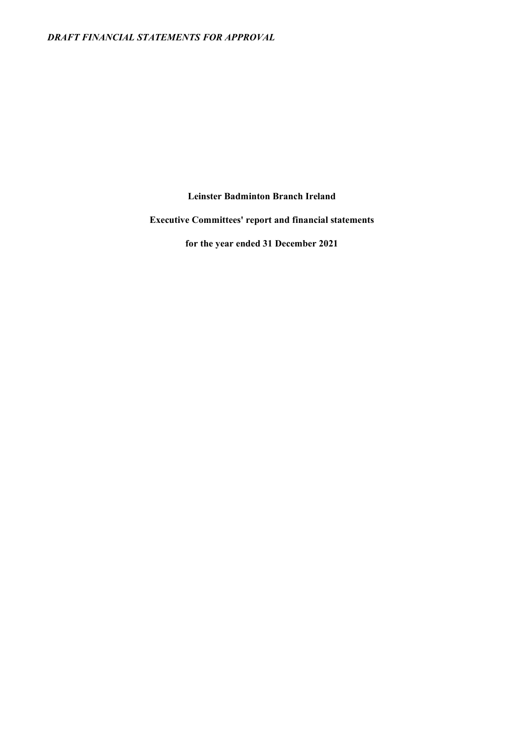Leinster Badminton Branch Ireland

Executive Committees' report and financial statements

for the year ended 31 December 2021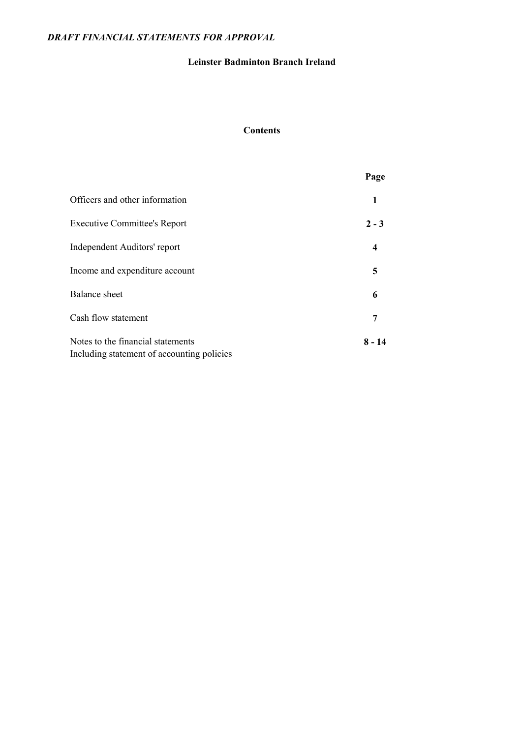## Leinster Badminton Branch Ireland

## Contents

|                                                                                 | Page             |
|---------------------------------------------------------------------------------|------------------|
| Officers and other information                                                  | 1                |
| <b>Executive Committee's Report</b>                                             | $2 - 3$          |
| Independent Auditors' report                                                    | $\boldsymbol{4}$ |
| Income and expenditure account                                                  | 5                |
| <b>Balance</b> sheet                                                            | 6                |
| Cash flow statement                                                             | 7                |
| Notes to the financial statements<br>Including statement of accounting policies | $8 - 14$         |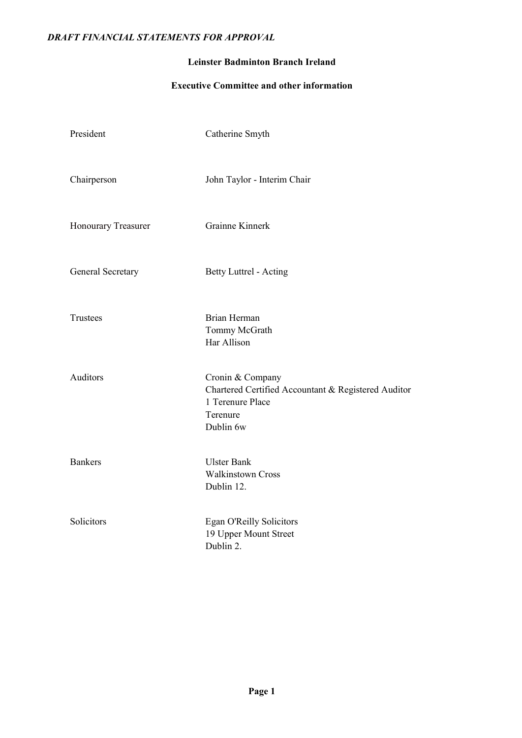## Leinster Badminton Branch Ireland

## Executive Committee and other information

| President           | Catherine Smyth                                                                                                      |
|---------------------|----------------------------------------------------------------------------------------------------------------------|
| Chairperson         | John Taylor - Interim Chair                                                                                          |
| Honourary Treasurer | Grainne Kinnerk                                                                                                      |
| General Secretary   | <b>Betty Luttrel - Acting</b>                                                                                        |
| Trustees            | Brian Herman<br>Tommy McGrath<br>Har Allison                                                                         |
| Auditors            | Cronin & Company<br>Chartered Certified Accountant & Registered Auditor<br>1 Terenure Place<br>Terenure<br>Dublin 6w |
| <b>Bankers</b>      | <b>Ulster Bank</b><br><b>Walkinstown Cross</b><br>Dublin 12.                                                         |
| Solicitors          | Egan O'Reilly Solicitors<br>19 Upper Mount Street<br>Dublin 2.                                                       |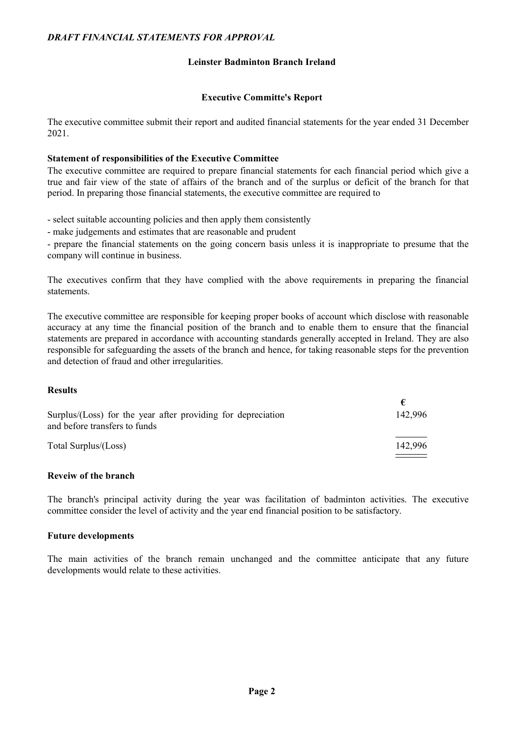### Leinster Badminton Branch Ireland

#### Executive Committe's Report

The executive committee submit their report and audited financial statements for the year ended 31 December 2021.

#### Statement of responsibilities of the Executive Committee

The executive committee are required to prepare financial statements for each financial period which give a true and fair view of the state of affairs of the branch and of the surplus or deficit of the branch for that period. In preparing those financial statements, the executive committee are required to

- select suitable accounting policies and then apply them consistently

- make judgements and estimates that are reasonable and prudent

- prepare the financial statements on the going concern basis unless it is inappropriate to presume that the company will continue in business.

The executives confirm that they have complied with the above requirements in preparing the financial statements.

The executive committee are responsible for keeping proper books of account which disclose with reasonable accuracy at any time the financial position of the branch and to enable them to ensure that the financial statements are prepared in accordance with accounting standards generally accepted in Ireland. They are also responsible for safeguarding the assets of the branch and hence, for taking reasonable steps for the prevention and detection of fraud and other irregularities.

€

### Results

| Surplus/(Loss) for the year after providing for depreciation<br>and before transfers to funds | 142.996 |
|-----------------------------------------------------------------------------------------------|---------|
| Total Surplus/(Loss)                                                                          | 142.996 |

#### Reveiw of the branch

The branch's principal activity during the year was facilitation of badminton activities. The executive committee consider the level of activity and the year end financial position to be satisfactory.

#### Future developments

The main activities of the branch remain unchanged and the committee anticipate that any future developments would relate to these activities.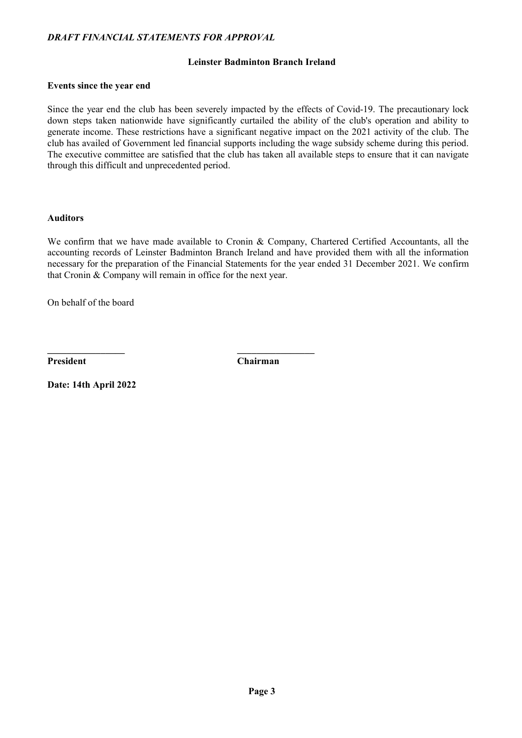## Leinster Badminton Branch Ireland

#### Events since the year end

Since the year end the club has been severely impacted by the effects of Covid-19. The precautionary lock down steps taken nationwide have significantly curtailed the ability of the club's operation and ability to generate income. These restrictions have a significant negative impact on the 2021 activity of the club. The club has availed of Government led financial supports including the wage subsidy scheme during this period. The executive committee are satisfied that the club has taken all available steps to ensure that it can navigate through this difficult and unprecedented period.

### Auditors

We confirm that we have made available to Cronin & Company, Chartered Certified Accountants, all the accounting records of Leinster Badminton Branch Ireland and have provided them with all the information necessary for the preparation of the Financial Statements for the year ended 31 December 2021. We confirm that Cronin & Company will remain in office for the next year.

On behalf of the board

President Chairman

\_\_\_\_\_\_\_\_\_\_\_\_\_\_\_\_ \_\_\_\_\_\_\_\_\_\_\_\_\_\_\_\_

Date: 14th April 2022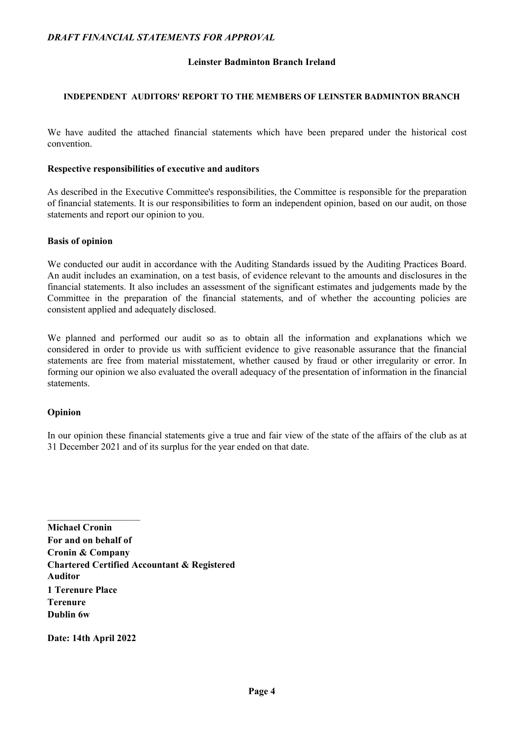### Leinster Badminton Branch Ireland

#### INDEPENDENT AUDITORS' REPORT TO THE MEMBERS OF LEINSTER BADMINTON BRANCH

We have audited the attached financial statements which have been prepared under the historical cost convention.

#### Respective responsibilities of executive and auditors

As described in the Executive Committee's responsibilities, the Committee is responsible for the preparation of financial statements. It is our responsibilities to form an independent opinion, based on our audit, on those statements and report our opinion to you.

#### Basis of opinion

We conducted our audit in accordance with the Auditing Standards issued by the Auditing Practices Board. An audit includes an examination, on a test basis, of evidence relevant to the amounts and disclosures in the financial statements. It also includes an assessment of the significant estimates and judgements made by the Committee in the preparation of the financial statements, and of whether the accounting policies are consistent applied and adequately disclosed.

We planned and performed our audit so as to obtain all the information and explanations which we considered in order to provide us with sufficient evidence to give reasonable assurance that the financial statements are free from material misstatement, whether caused by fraud or other irregularity or error. In forming our opinion we also evaluated the overall adequacy of the presentation of information in the financial statements.

#### Opinion

In our opinion these financial statements give a true and fair view of the state of the affairs of the club as at 31 December 2021 and of its surplus for the year ended on that date.

Michael Cronin For and on behalf of Cronin & Company Chartered Certified Accountant & Registered Auditor 1 Terenure Place Terenure Dublin 6w

Date: 14th April 2022

 $\mathcal{L}_\text{max}$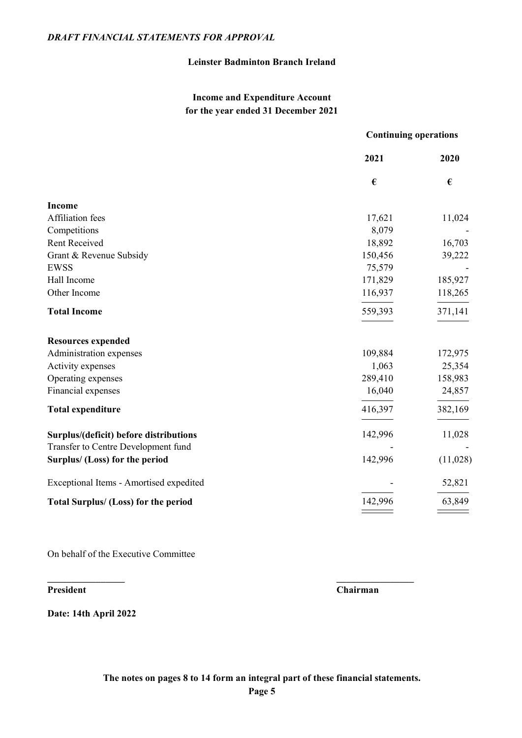## Leinster Badminton Branch Ireland

## Income and Expenditure Account for the year ended 31 December 2021

|                                             | <b>Continuing operations</b> |          |  |
|---------------------------------------------|------------------------------|----------|--|
|                                             | 2021                         | 2020     |  |
|                                             | €                            | €        |  |
| <b>Income</b>                               |                              |          |  |
| Affiliation fees                            | 17,621                       | 11,024   |  |
| Competitions                                | 8,079                        |          |  |
| <b>Rent Received</b>                        | 18,892                       | 16,703   |  |
| Grant & Revenue Subsidy                     | 150,456                      | 39,222   |  |
| <b>EWSS</b>                                 | 75,579                       |          |  |
| Hall Income                                 | 171,829                      | 185,927  |  |
| Other Income                                | 116,937                      | 118,265  |  |
| <b>Total Income</b>                         | 559,393                      | 371,141  |  |
| <b>Resources expended</b>                   |                              |          |  |
| Administration expenses                     | 109,884                      | 172,975  |  |
| Activity expenses                           | 1,063                        | 25,354   |  |
| Operating expenses                          | 289,410                      | 158,983  |  |
| Financial expenses                          | 16,040                       | 24,857   |  |
| <b>Total expenditure</b>                    | 416,397                      | 382,169  |  |
| Surplus/(deficit) before distributions      | 142,996                      | 11,028   |  |
| Transfer to Centre Development fund         |                              |          |  |
| Surplus/ (Loss) for the period              | 142,996                      | (11,028) |  |
| Exceptional Items - Amortised expedited     |                              | 52,821   |  |
| <b>Total Surplus/ (Loss) for the period</b> | 142,996                      | 63,849   |  |
|                                             |                              |          |  |

On behalf of the Executive Committee

President Chairman

Date: 14th April 2022

 $\_$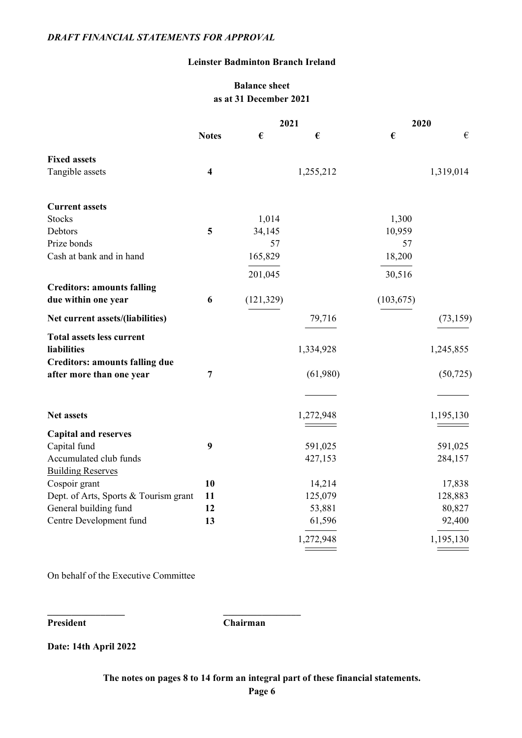### Leinster Badminton Branch Ireland

## Balance sheet as at 31 December 2021

|                                       |                         | 2021       |           | 2020       |           |  |  |
|---------------------------------------|-------------------------|------------|-----------|------------|-----------|--|--|
|                                       | <b>Notes</b>            | €          | €         | €          | €         |  |  |
| <b>Fixed assets</b>                   |                         |            |           |            |           |  |  |
| Tangible assets                       | $\overline{\mathbf{4}}$ |            | 1,255,212 |            | 1,319,014 |  |  |
| <b>Current assets</b>                 |                         |            |           |            |           |  |  |
| <b>Stocks</b>                         |                         | 1,014      |           | 1,300      |           |  |  |
| Debtors                               | 5                       | 34,145     |           | 10,959     |           |  |  |
| Prize bonds                           |                         | 57         |           | 57         |           |  |  |
| Cash at bank and in hand              |                         | 165,829    |           | 18,200     |           |  |  |
|                                       |                         | 201,045    |           | 30,516     |           |  |  |
| <b>Creditors: amounts falling</b>     |                         |            |           |            |           |  |  |
| due within one year                   | 6                       | (121, 329) |           | (103, 675) |           |  |  |
| Net current assets/(liabilities)      |                         |            | 79,716    |            | (73, 159) |  |  |
| <b>Total assets less current</b>      |                         |            |           |            |           |  |  |
| <b>liabilities</b>                    |                         |            | 1,334,928 |            | 1,245,855 |  |  |
| <b>Creditors: amounts falling due</b> |                         |            |           |            |           |  |  |
| after more than one year              | $\overline{7}$          |            | (61,980)  |            | (50, 725) |  |  |
|                                       |                         |            |           |            |           |  |  |
| <b>Net assets</b>                     |                         |            | 1,272,948 |            | 1,195,130 |  |  |
| <b>Capital and reserves</b>           |                         |            |           |            |           |  |  |
| Capital fund                          | 9                       |            | 591,025   |            | 591,025   |  |  |
| Accumulated club funds                |                         |            | 427,153   |            | 284,157   |  |  |
| <b>Building Reserves</b>              |                         |            |           |            |           |  |  |
| Cospoir grant                         | 10                      |            | 14,214    |            | 17,838    |  |  |
| Dept. of Arts, Sports & Tourism grant | 11                      |            | 125,079   |            | 128,883   |  |  |
| General building fund                 | 12                      |            | 53,881    |            | 80,827    |  |  |
| Centre Development fund               | 13                      |            | 61,596    |            | 92,400    |  |  |
|                                       |                         |            | 1,272,948 |            | 1,195,130 |  |  |

On behalf of the Executive Committee

\_\_\_\_\_\_\_\_\_\_\_\_\_\_\_\_ \_\_\_\_\_\_\_\_\_\_\_\_\_\_\_\_

President Chairman

Date: 14th April 2022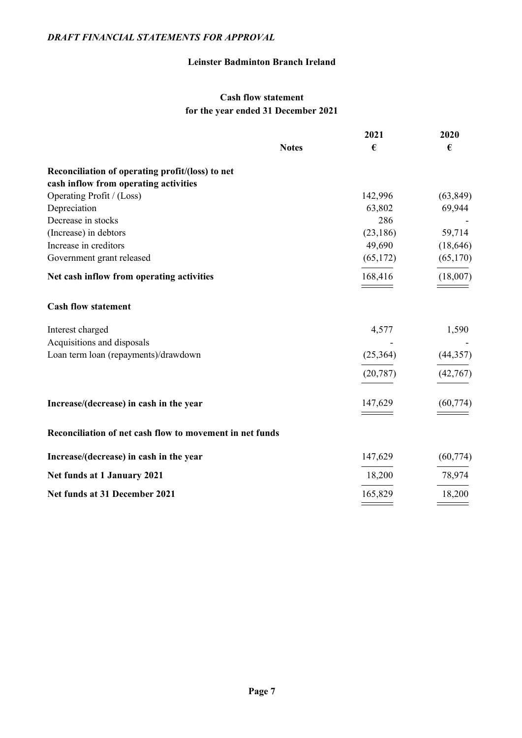## Leinster Badminton Branch Ireland

## Cash flow statement for the year ended 31 December 2021

|                                                          | 2021      | 2020      |
|----------------------------------------------------------|-----------|-----------|
| <b>Notes</b>                                             | €         | €         |
| Reconciliation of operating profit/(loss) to net         |           |           |
| cash inflow from operating activities                    |           |           |
| Operating Profit / (Loss)                                | 142,996   | (63, 849) |
| Depreciation                                             | 63,802    | 69,944    |
| Decrease in stocks                                       | 286       |           |
| (Increase) in debtors                                    | (23, 186) | 59,714    |
| Increase in creditors                                    | 49,690    | (18, 646) |
| Government grant released                                | (65,172)  | (65,170)  |
| Net cash inflow from operating activities                | 168,416   | (18,007)  |
| <b>Cash flow statement</b>                               |           |           |
| Interest charged                                         | 4,577     | 1,590     |
| Acquisitions and disposals                               |           |           |
| Loan term loan (repayments)/drawdown                     | (25,364)  | (44, 357) |
|                                                          | (20, 787) | (42, 767) |
| Increase/(decrease) in cash in the year                  | 147,629   | (60, 774) |
| Reconciliation of net cash flow to movement in net funds |           |           |
| Increase/(decrease) in cash in the year                  | 147,629   | (60, 774) |
| Net funds at 1 January 2021                              | 18,200    | 78,974    |
| Net funds at 31 December 2021                            | 165,829   | 18,200    |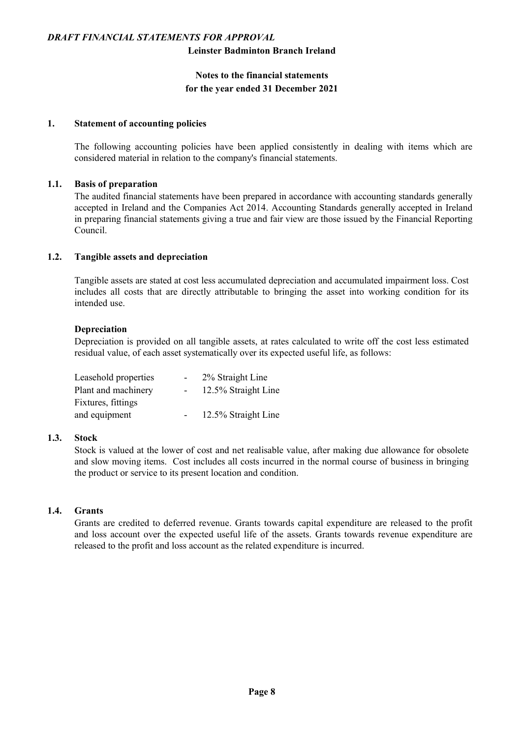#### Leinster Badminton Branch Ireland

## Notes to the financial statements for the year ended 31 December 2021

#### 1. Statement of accounting policies

The following accounting policies have been applied consistently in dealing with items which are considered material in relation to the company's financial statements.

#### 1.1. Basis of preparation

The audited financial statements have been prepared in accordance with accounting standards generally accepted in Ireland and the Companies Act 2014. Accounting Standards generally accepted in Ireland in preparing financial statements giving a true and fair view are those issued by the Financial Reporting Council.

### 1.2. Tangible assets and depreciation

Tangible assets are stated at cost less accumulated depreciation and accumulated impairment loss. Cost includes all costs that are directly attributable to bringing the asset into working condition for its intended use.

#### Depreciation

Depreciation is provided on all tangible assets, at rates calculated to write off the cost less estimated residual value, of each asset systematically over its expected useful life, as follows:

| Leasehold properties | ۰. | 2% Straight Line    |
|----------------------|----|---------------------|
| Plant and machinery  |    | 12.5% Straight Line |
| Fixtures, fittings   |    |                     |
| and equipment        |    | 12.5% Straight Line |

#### 1.3. Stock

Stock is valued at the lower of cost and net realisable value, after making due allowance for obsolete and slow moving items. Cost includes all costs incurred in the normal course of business in bringing the product or service to its present location and condition.

### 1.4. Grants

Grants are credited to deferred revenue. Grants towards capital expenditure are released to the profit and loss account over the expected useful life of the assets. Grants towards revenue expenditure are released to the profit and loss account as the related expenditure is incurred.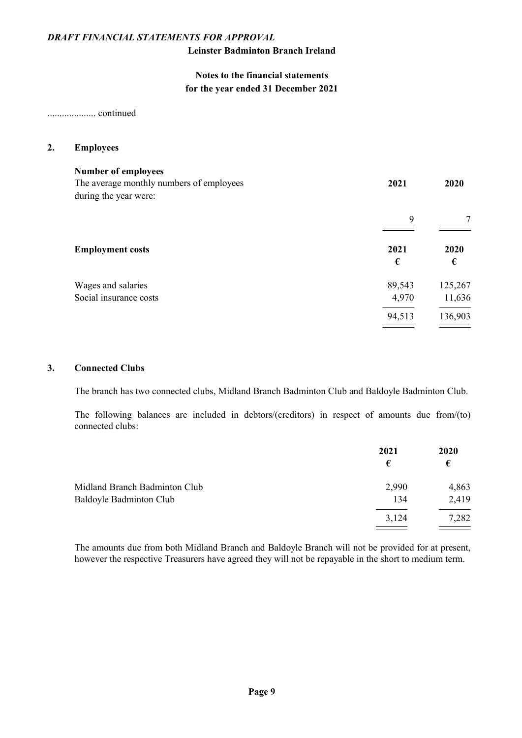### Leinster Badminton Branch Ireland

## Notes to the financial statements for the year ended 31 December 2021

.................... continued

#### 2. Employees

| <b>Number of employees</b><br>The average monthly numbers of employees<br>during the year were: | 2021            | 2020              |
|-------------------------------------------------------------------------------------------------|-----------------|-------------------|
|                                                                                                 | 9               |                   |
| <b>Employment costs</b>                                                                         | 2021<br>€       | 2020<br>€         |
| Wages and salaries<br>Social insurance costs                                                    | 89,543<br>4,970 | 125,267<br>11,636 |
|                                                                                                 | 94,513          | 136,903           |

#### 3. Connected Clubs

The branch has two connected clubs, Midland Branch Badminton Club and Baldoyle Badminton Club.

The following balances are included in debtors/(creditors) in respect of amounts due from/(to) connected clubs:

|                               | 2021  | 2020  |
|-------------------------------|-------|-------|
|                               | €     | €     |
| Midland Branch Badminton Club | 2,990 | 4,863 |
| Baldoyle Badminton Club       | 134   | 2,419 |
|                               | 3,124 | 7,282 |
|                               |       |       |

The amounts due from both Midland Branch and Baldoyle Branch will not be provided for at present, however the respective Treasurers have agreed they will not be repayable in the short to medium term.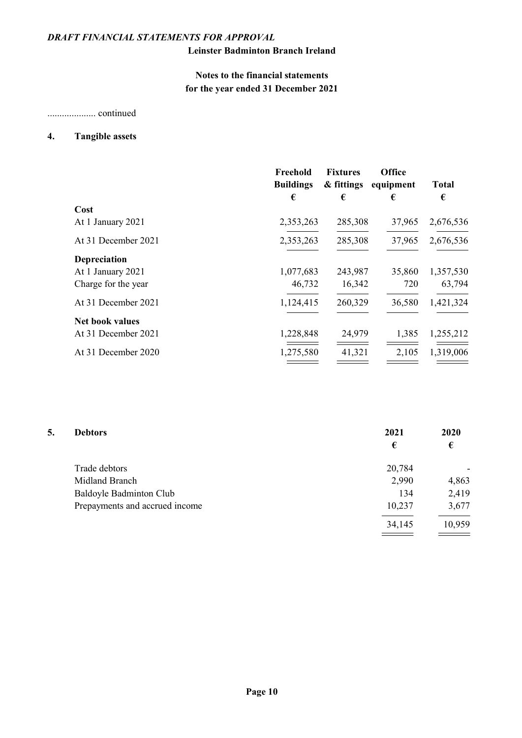## Leinster Badminton Branch Ireland

# Notes to the financial statements for the year ended 31 December 2021

.................... continued

#### 4. Tangible assets

|                        | Freehold<br><b>Buildings</b> | <b>Fixtures</b><br>& fittings | <b>Office</b><br>equipment | <b>Total</b> |
|------------------------|------------------------------|-------------------------------|----------------------------|--------------|
|                        | €                            | €                             | €                          | €            |
| Cost                   |                              |                               |                            |              |
| At 1 January 2021      | 2,353,263                    | 285,308                       | 37,965                     | 2,676,536    |
| At 31 December 2021    | 2,353,263                    | 285,308                       | 37,965                     | 2,676,536    |
| <b>Depreciation</b>    |                              |                               |                            |              |
| At 1 January 2021      | 1,077,683                    | 243,987                       | 35,860                     | 1,357,530    |
| Charge for the year    | 46,732                       | 16,342                        | 720                        | 63,794       |
| At 31 December 2021    | 1,124,415                    | 260,329                       | 36,580                     | 1,421,324    |
| <b>Net book values</b> |                              |                               |                            |              |
| At 31 December 2021    | 1,228,848                    | 24,979                        | 1,385                      | 1,255,212    |
| At 31 December 2020    | 1,275,580                    | 41,321                        | 2,105                      | 1,319,006    |

| <b>Debtors</b>                 | 2021<br>€ | 2020<br>€ |
|--------------------------------|-----------|-----------|
| Trade debtors                  | 20,784    |           |
| Midland Branch                 | 2,990     | 4,863     |
| Baldoyle Badminton Club        | 134       | 2,419     |
| Prepayments and accrued income | 10,237    | 3,677     |
|                                | 34,145    | 10,959    |
|                                |           |           |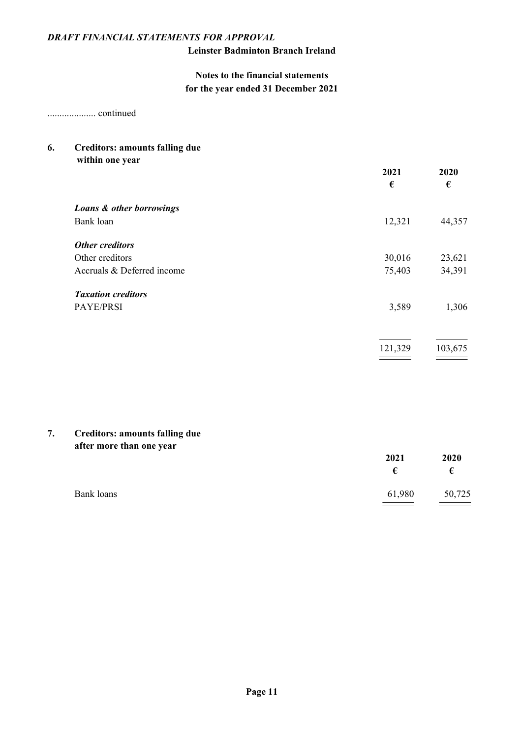## Leinster Badminton Branch Ireland

## Notes to the financial statements for the year ended 31 December 2021

.................... continued

# 6. Creditors: amounts falling due

| $\bullet$                  | 2021<br>€ | 2020<br>€ |
|----------------------------|-----------|-----------|
| Loans & other borrowings   |           |           |
| Bank loan                  | 12,321    | 44,357    |
| <b>Other creditors</b>     |           |           |
| Other creditors            | 30,016    | 23,621    |
| Accruals & Deferred income | 75,403    | 34,391    |
| <b>Taxation creditors</b>  |           |           |
| PAYE/PRSI                  | 3,589     | 1,306     |
|                            |           |           |
|                            |           |           |

121,329 103,675

 $\overline{\phantom{a}}$ 

## 7. Creditors: amounts falling due after more than one year

| ___        | 2021<br>€ | 2020<br>€ |
|------------|-----------|-----------|
| Bank loans | 61,980    | 50,725    |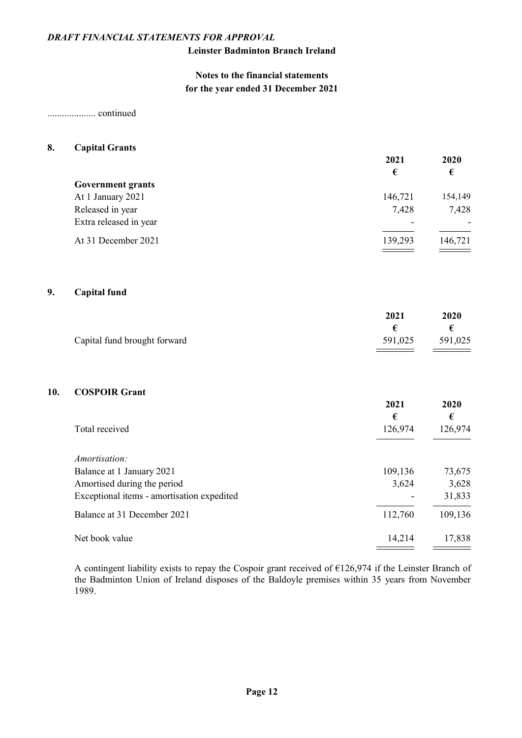## Leinster Badminton Branch Ireland

## Notes to the financial statements for the year ended 31 December 2021

.................... continued

#### 8. Capital Grants

|                          | 2021                     | 2020    |
|--------------------------|--------------------------|---------|
|                          | €                        | €       |
| <b>Government grants</b> |                          |         |
| At 1 January 2021        | 146,721                  | 154,149 |
| Released in year         | 7,428                    | 7,428   |
| Extra released in year   | $\overline{\phantom{0}}$ |         |
| At 31 December 2021      | 139,293                  | 146,721 |

#### 9. Capital fund

|                              | 2021    | 2020    |
|------------------------------|---------|---------|
|                              |         |         |
| Capital fund brought forward | 591,025 | 591,025 |

## 10. COSPOIR Grant

|                                            | 2021<br>€ | 2020<br>€ |
|--------------------------------------------|-----------|-----------|
| Total received                             | 126,974   | 126,974   |
| <i>Amortisation:</i>                       |           |           |
|                                            |           |           |
| Balance at 1 January 2021                  | 109,136   | 73,675    |
| Amortised during the period                | 3,624     | 3,628     |
| Exceptional items - amortisation expedited |           | 31,833    |
| Balance at 31 December 2021                | 112,760   | 109,136   |
| Net book value                             | 14,214    | 17,838    |

A contingent liability exists to repay the Cospoir grant received of €126,974 if the Leinster Branch of the Badminton Union of Ireland disposes of the Baldoyle premises within 35 years from November 1989.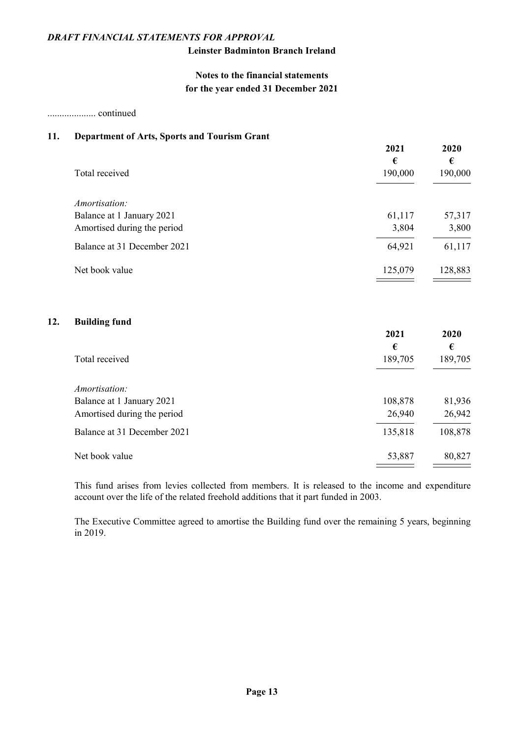## Leinster Badminton Branch Ireland

## Notes to the financial statements for the year ended 31 December 2021

.................... continued

 $12.$ 

#### 11. Department of Arts, Sports and Tourism Grant

|                             | 2021<br>€ | 2020<br>€ |
|-----------------------------|-----------|-----------|
| Total received              | 190,000   | 190,000   |
| Amortisation:               |           |           |
| Balance at 1 January 2021   | 61,117    | 57,317    |
| Amortised during the period | 3,804     | 3,800     |
| Balance at 31 December 2021 | 64,921    | 61,117    |
| Net book value              | 125,079   | 128,883   |
| <b>Building fund</b>        | 2021      | 2020      |
|                             | €         | €         |
| Total received              | 189,705   | 189,705   |
| Amortisation:               |           |           |
| Balance at 1 January 2021   | 108,878   | 81,936    |
| Amortised during the period | 26,940    | 26,942    |
| Balance at 31 December 2021 | 135,818   | 108,878   |
| Net book value              | 53,887    | 80,827    |

This fund arises from levies collected from members. It is released to the income and expenditure account over the life of the related freehold additions that it part funded in 2003.

The Executive Committee agreed to amortise the Building fund over the remaining 5 years, beginning in 2019.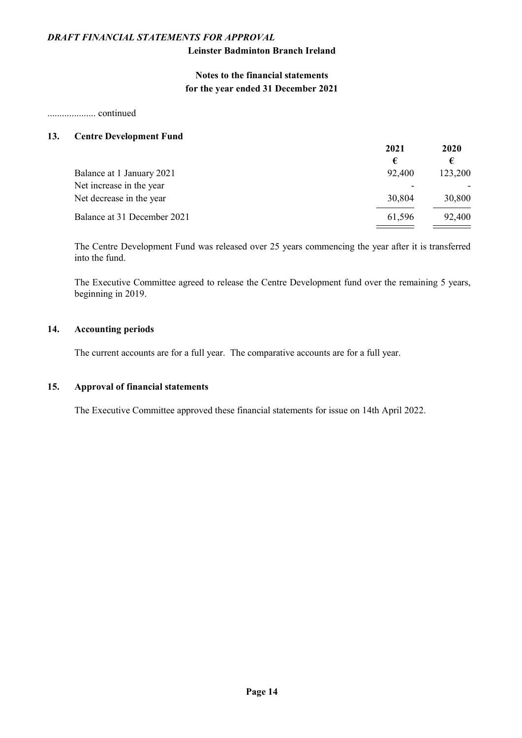## Leinster Badminton Branch Ireland

## Notes to the financial statements for the year ended 31 December 2021

.................... continued

#### 13. Centre Development Fund

|                             | 2021   | 2020    |
|-----------------------------|--------|---------|
|                             | €      | €       |
| Balance at 1 January 2021   | 92,400 | 123,200 |
| Net increase in the year    |        |         |
| Net decrease in the year    | 30,804 | 30,800  |
| Balance at 31 December 2021 | 61,596 | 92,400  |

The Centre Development Fund was released over 25 years commencing the year after it is transferred into the fund.

The Executive Committee agreed to release the Centre Development fund over the remaining 5 years, beginning in 2019.

#### 14. Accounting periods

The current accounts are for a full year. The comparative accounts are for a full year.

### 15. Approval of financial statements

The Executive Committee approved these financial statements for issue on 14th April 2022.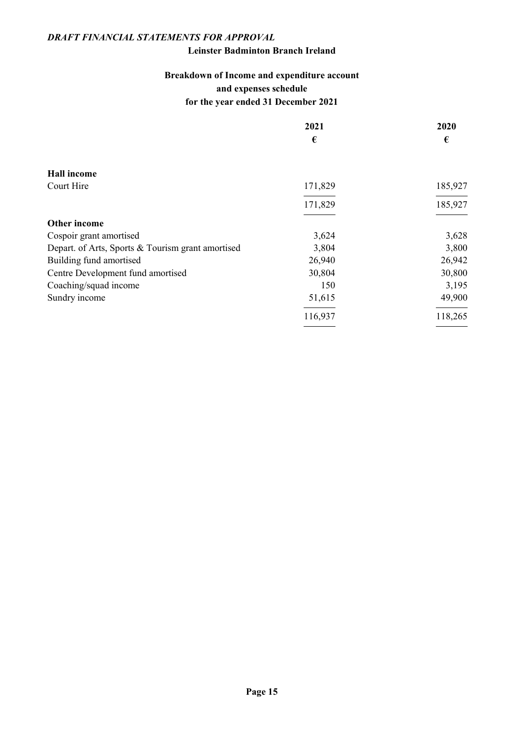### Leinster Badminton Branch Ireland

# Breakdown of Income and expenditure account and expenses schedule for the year ended 31 December 2021

|                                                   | 2021    | 2020    |
|---------------------------------------------------|---------|---------|
|                                                   | €       | €       |
|                                                   |         |         |
| <b>Hall income</b>                                |         |         |
| Court Hire                                        | 171,829 | 185,927 |
|                                                   | 171,829 | 185,927 |
| Other income                                      |         |         |
| Cospoir grant amortised                           | 3,624   | 3,628   |
| Depart. of Arts, Sports & Tourism grant amortised | 3,804   | 3,800   |
| Building fund amortised                           | 26,940  | 26,942  |
| Centre Development fund amortised                 | 30,804  | 30,800  |
| Coaching/squad income                             | 150     | 3,195   |
| Sundry income                                     | 51,615  | 49,900  |
|                                                   | 116,937 | 118,265 |